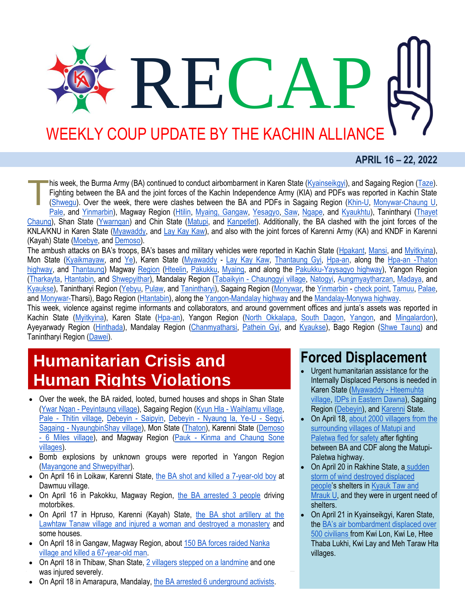# WEEKLY COUP UPDATE BY THE KACHIN ALLIANCE

RECA

#### **APRIL 16 – 22, 2022**

his week, the Burma Army (BA) continued to conduct airbombarment in Karen State [\(Kyainseikgyi\)](https://kicnews.org/2022/04/%e1%80%95%e1%80%ad%e1%80%90%e1%80%ba%e1%80%91%e1%80%ac%e1%80%b8%e1%80%9e%e1%80%b1%e1%80%ac-%e1%80%81%e1%80%bb%e1%80%b1%e1%80%ac%e1%80%84%e1%80%ba%e1%80%b8%e1%80%a1%e1%80%ac%e1%80%b8-%e1%80%99%e1%80%96/), and Sagaing Region [\(Taze\)](http://burmese.dvb.no/archives/529186). Fighting between the BA and the joint forces of the Kachin Independence Army (KIA) and PDFs was reported in Kachin State [\(Shwegu\)](https://burmese.kachinnews.com/2022/04/22/apr22-y1/). Over the week, there were clashes between the BA and PDFs in Sagaing Region [\(Khin-U,](https://burmese.kachinnews.com/2022/04/16/apr16-z1-2/) [Monywar-Chaung U,](http://burmese.dvb.no/archives/528221) [Pale,](http://burmese.dvb.no/archives/528780) and [Yinmarbin\)](http://burmese.dvb.no/archives/529204), Magway Region [\(Htilin,](http://burmese.dvb.no/archives/528827) [Myaing, Gangaw,](http://burmese.dvb.no/archives/528791) [Yesagyo,](http://burmese.dvb.no/archives/528734) [Saw,](https://www.myanmar-now.org/mm/news/11074) [Ngape,](https://www.myanmar-now.org/mm/news/11056) and [Kyaukhtu\)](https://www.myanmar-now.org/mm/news/11039), Tanintharyi [\(Thayet](http://burmese.dvb.no/archives/528824)  [Chaung\)](http://burmese.dvb.no/archives/528824), Shan State [\(Ywarngan\)](http://burmese.dvb.no/archives/529005) and Chin State [\(Matupi,](http://burmese.dvb.no/archives/529254) and [Kanpetlet\)](http://burmese.dvb.no/archives/529273). Additionally, the BA clashed with the joint forces of the KNLA/KNU in Karen State [\(Myawaddy,](http://burmese.dvb.no/archives/528080) and [Lay Kay Kaw\)](https://kicnews.org/2022/04/%e1%80%96%e1%80%9c%e1%80%b0%e1%80%b8%e1%80%9b%e1%80%bd%e1%80%ac%e1%80%90%e1%80%bd%e1%80%84%e1%80%ba-%e1%80%91%e1%80%ad%e1%80%90%e1%80%bd%e1%80%b1%e1%80%b7-%e1%80%90%e1%80%ad%e1%80%af%e1%80%80%e1%80%ba/), and also with the joint forces of Karenni Army (KA) and KNDF in Karenni (Kayah) State [\(Moebye,](https://www.kantarawaddytimes.org/%e1%80%99%e1%80%ad%e1%80%af%e1%80%b8%e1%80%97%e1%80%bc%e1%80%b2%e1%80%99%e1%80%bc%e1%80%ad%e1%80%af%e1%80%b7%e1%80%99%e1%80%be%e1%80%ac-%e1%80%90%e1%80%95%e1%80%ba%e1%80%85%e1%80%bd%e1%80%b2%e1%80%91/) and [Demoso\)](https://www.myanmar-now.org/mm/news/11081). T

The ambush attacks on BA's troops, BA's bases and military vehicles were reported in Kachin State ([Hpakant,](https://burmese.kachinnews.com/2022/04/16/apr16-y1/) [Mansi,](https://burmese.kachinnews.com/2022/04/18/apr-18-ld-1/) and [Myitkyina\)](https://burmese.kachinnews.com/2022/04/22/apr22-az1/), Mon State [\(Kyaikmayaw,](https://kicnews.org/2022/04/%e1%80%9e%e1%80%84%e1%80%ba%e1%80%b9%e1%80%80%e1%80%bc%e1%80%94%e1%80%ba%e1%80%a1%e1%80%90%e1%80%80%e1%80%ba%e1%80%94%e1%80%b1%e1%80%b7%e1%80%90%e1%80%bd%e1%80%84%e1%80%ba-%e1%80%81%e1%80%bb%e1%80%b1/) and [Ye\)](http://burmese.dvb.no/archives/529286), Karen State [\(Myawaddy](http://burmese.dvb.no/archives/529153) - [Lay Kay Kaw,](https://kicnews.org/2022/04/%e1%80%9c%e1%80%80%e1%80%ba%e1%80%94%e1%80%80%e1%80%ba%e1%80%80%e1%80%bc%e1%80%ae%e1%80%b8%e1%80%95%e1%80%85%e1%80%ba%e1%80%81%e1%80%90%e1%80%ba%e1%80%81%e1%80%bc%e1%80%84%e1%80%ba%e1%80%b8%e1%81%8a/) [Thantaung Gyi,](https://kicnews.org/2022/04/%e1%80%9e%e1%80%b6%e1%80%90%e1%80%b1%e1%80%ac%e1%80%84%e1%80%ba%e1%80%90%e1%80%bd%e1%80%84%e1%80%ba-%e1%80%80%e1%80%84%e1%80%ba%e1%80%b8%e1%80%9c%e1%80%be%e1%80%8a%e1%80%b7%e1%80%ba%e1%80%85%e1%80%85/) [Hpa-an,](https://kicnews.org/2022/04/%e1%80%9d%e1%80%ab%e1%80%b8%e1%80%98%e1%80%ad%e1%80%af%e1%80%b8%e1%80%90%e1%80%b1%e1%80%ac%e1%80%9c%e1%80%99%e1%80%ba%e1%80%b8%e1%80%86%e1%80%af%e1%80%b6%e1%80%9b%e1%80%b2%e1%80%82%e1%80%ad%e1%80%90/) along the [Hpa-an -Thaton](http://burmese.dvb.no/archives/528609)  [highway,](http://burmese.dvb.no/archives/528609) and [Thantaung\)](http://burmese.dvb.no/archives/528851) Magway [Region](http://burmese.dvb.no/archives/528474) [\(Hteelin,](http://burmese.dvb.no/archives/528099) [Pakukku,](http://burmese.dvb.no/archives/528067) [Myaing,](http://burmese.dvb.no/archives/528374) and along the [Pakukku-Yaysagyo highway\)](http://burmese.dvb.no/archives/528690), Yangon Region [\(Tharkayta,](http://burmese.dvb.no/archives/528114) [Htantabin,](http://burmese.dvb.no/archives/528585) and [Shwepyithar\)](http://burmese.dvb.no/archives/529029), Mandalay Region (Tabaikyin - [Chaunggyi village,](http://burmese.dvb.no/archives/528130) [Natogyi,](http://burmese.dvb.no/archives/528139) [Aungmyaytharzan,](http://burmese.dvb.no/archives/528209) [Madaya,](http://burmese.dvb.no/archives/528566) and [Kyaukse\)](http://burmese.dvb.no/archives/528836), Tanintharyi Region [\(Yebyu,](http://burmese.dvb.no/archives/527961) [Pulaw,](http://burmese.dvb.no/archives/528283) and [Tanintharyi\)](http://burmese.dvb.no/archives/529183), Sagaing Region [\(Monywar,](http://burmese.dvb.no/archives/528006) th[e Yinmarbin](http://burmese.dvb.no/archives/528264) - [check point,](http://burmese.dvb.no/archives/529291) [Tamuu,](http://burmese.dvb.no/archives/528471) [Palae,](http://burmese.dvb.no/archives/528574) an[d Monywar-T](http://burmese.dvb.no/archives/529257)harsi), Bago Region [\(Htantabin\)](http://burmese.dvb.no/archives/529319), along the [Yangon-Mandalay highway](http://burmese.dvb.no/archives/528370) and the [Mandalay-Monywa highway.](http://burmese.dvb.no/archives/528801)

This week, violence against regime informants and collaborators, and around government offices and junta's assets was reported in Kachin State [\(Myitkyina\)](https://burmese.kachinnews.com/2022/04/16/apr16-ab1/), Karen State [\(Hpa-an\)](https://kicnews.org/2022/04/%e1%80%96%e1%80%ac%e1%80%b8%e1%80%a1%e1%80%b6%e1%80%85%e1%80%85%e1%80%ba%e1%80%80%e1%80%b1%e1%80%ac%e1%80%84%e1%80%ba%e1%80%85%e1%80%ae%e1%80%94%e1%80%be%e1%80%84%e1%80%ba%e1%80%b7-%e1%80%9c%e1%80%80/), Yangon Region [\(North Okkalapa,](http://burmese.dvb.no/archives/528083) [South Dagon,](http://burmese.dvb.no/archives/528379) [Yangon,](http://burmese.dvb.no/archives/528638) and [Mingalardon\)](http://burmese.dvb.no/archives/528799), Ayeyarwady Region [\(Hinthada\)](http://burmese.dvb.no/archives/528003), Mandalay Region [\(Chanmyatharsi,](http://burmese.dvb.no/archives/528258) [Pathein Gyi,](http://burmese.dvb.no/archives/528702) and [Kyaukse\)](http://burmese.dvb.no/archives/529282), Bago Region [\(Shwe Taung\)](http://burmese.dvb.no/archives/528261) and Tanintharyi Region [\(Dawei\)](http://burmese.dvb.no/archives/529131).

### **Humanitarian Crisis and Human Rights Violations**

- Over the week, the BA raided, looted, burned houses and shops in Shan State (Ywar Ngan - [Peyintaung village\)](http://burmese.dvb.no/archives/528096), Sagaing Region (Kyun Hla - [Waihlamu village,](http://burmese.dvb.no/archives/528031) Pale - [Thitin village,](http://burmese.dvb.no/archives/528560) [Debeyin -](http://burmese.dvb.no/archives/528693) Saipyin, Debeyin - [Nyaung la, Ye-U -](https://www.myanmar-now.org/mm/news/11083) Segyi, Sagaing - [NyaungbinShay village\)](https://www.myanmar-now.org/mm/news/11072), Mon State [\(Thaton\)](http://burmese.dvb.no/archives/528255), Karenni State [\(Demoso](http://burmese.dvb.no/archives/528463)  - [6 Miles village\)](http://burmese.dvb.no/archives/528463), and Magway Region (Pauk - Kinma and [Chaung Sone](http://burmese.dvb.no/archives/528611)  [villages\)](http://burmese.dvb.no/archives/528611).
- Bomb explosions by unknown groups were reported in Yangon Region [\(Mayangone and Shwepyithar\)](http://burmese.dvb.no/archives/528754).
- On April 16 in Loikaw, Karenni State, [the BA shot and killed a 7-year-old boy](http://burmese.dvb.no/archives/528186) at Dawmuu village.
- On April 16 in Pakokku, Magway Region, [the BA arrested 3 people](http://burmese.dvb.no/archives/528270) driving motorbikes.
- On April 17 in Hpruso, Karenni (Kayah) State, [the BA shot artillery at the](http://burmese.dvb.no/archives/528349)  [Lawhtaw Tanaw village and injured a woman and destroyed a monastery](http://burmese.dvb.no/archives/528349) and some houses.
- On April 18 in Gangaw, Magway Region, about 150 BA forces raided Nanka [village and killed a 67-year-old man.](http://burmese.dvb.no/archives/528674)
- On April 18 in Thibaw, Shan State[, 2 villagers stepped on a landmine](http://burmese.dvb.no/archives/528575) and one was injured severely.
- On April 18 in Amarapura, Mandalay[, the BA arrested 6 underground activists.](http://burmese.dvb.no/archives/529156)

#### **Forced Displacement**

- Urgent humanitarian assistance for the Internally Displaced Persons is needed in Karen State [\(Myawaddy -](https://kicnews.org/2022/04/%e1%80%91%e1%80%b1%e1%80%ac%e1%80%84%e1%80%ba%e1%80%94%e1%80%be%e1%80%84%e1%80%b7%e1%80%ba%e1%80%81%e1%80%bb%e1%80%ae%e1%80%9e%e1%80%b1%e1%80%ac-%e1%80%91%e1%80%ae%e1%80%b8%e1%80%99%e1%80%b0%e1%80%b8/) [Hteemuhta](https://kicnews.org/2022/04/%e1%80%91%e1%80%b1%e1%80%ac%e1%80%84%e1%80%ba%e1%80%94%e1%80%be%e1%80%84%e1%80%b7%e1%80%ba%e1%80%81%e1%80%bb%e1%80%ae%e1%80%9e%e1%80%b1%e1%80%ac-%e1%80%91%e1%80%ae%e1%80%b8%e1%80%99%e1%80%b0%e1%80%b8/)  [village,](https://www.myanmar-now.org/en/news/over-20000-people-displaced-in-southeast-myanmar-suffering-food-shortage-emergency) [IDPs in Eastern Dawna\)](https://kicnews.org/2022/04/%e1%80%92%e1%80%b1%e1%80%ab%e1%80%94-%e1%80%a1%e1%80%9b%e1%80%be%e1%80%b1%e1%80%b7%e1%80%81%e1%80%bc%e1%80%99%e1%80%ba%e1%80%b8-%e1%80%85%e1%80%85%e1%80%ba%e1%80%98%e1%80%b1%e1%80%b8%e1%80%9b%e1%80%be/), Sagaing Region [\(Debeyin\)](http://burmese.dvb.no/archives/529054), an[d Karenni](http://burmese.dvb.no/archives/529019) State.
- On April 18[, about 2000 villagers from the](https://burma.irrawaddy.com/news/2022/04/18/251349.html)  [surrounding villages of Matupi and](https://burma.irrawaddy.com/news/2022/04/18/251349.html)  [Paletwa fled for safety a](https://burma.irrawaddy.com/news/2022/04/18/251349.html)fter fighting between BA and CDF along the Matupi-Paletwa highway.
- On April 20 in Rakhine State, a [sudden](http://burmese.dvb.no/archives/528874)  [storm of wind destroyed displaced](http://burmese.dvb.no/archives/528874)  [people](http://burmese.dvb.no/archives/528874)'s shelters in [Kyauk Taw and](https://www.myanmar-now.org/mm/news/11071)  [Mrauk U,](https://www.myanmar-now.org/mm/news/11071) and they were in urgent need of shelters.
- On April 21 in Kyainseikgyi, Karen State, the [BA's air bombardment displaced over](https://kicnews.org/2022/04/%e1%80%95%e1%80%ad%e1%80%90%e1%80%ba%e1%80%91%e1%80%ac%e1%80%b8%e1%80%9e%e1%80%b1%e1%80%ac-%e1%80%81%e1%80%bb%e1%80%b1%e1%80%ac%e1%80%84%e1%80%ba%e1%80%b8%e1%80%a1%e1%80%ac%e1%80%b8-%e1%80%99%e1%80%96/)  [500 civilians f](https://kicnews.org/2022/04/%e1%80%95%e1%80%ad%e1%80%90%e1%80%ba%e1%80%91%e1%80%ac%e1%80%b8%e1%80%9e%e1%80%b1%e1%80%ac-%e1%80%81%e1%80%bb%e1%80%b1%e1%80%ac%e1%80%84%e1%80%ba%e1%80%b8%e1%80%a1%e1%80%ac%e1%80%b8-%e1%80%99%e1%80%96/)rom Kwi Lon, Kwi Le, Htee Thaba Lukhi, Kwi Lay and Meh Taraw Hta villages.